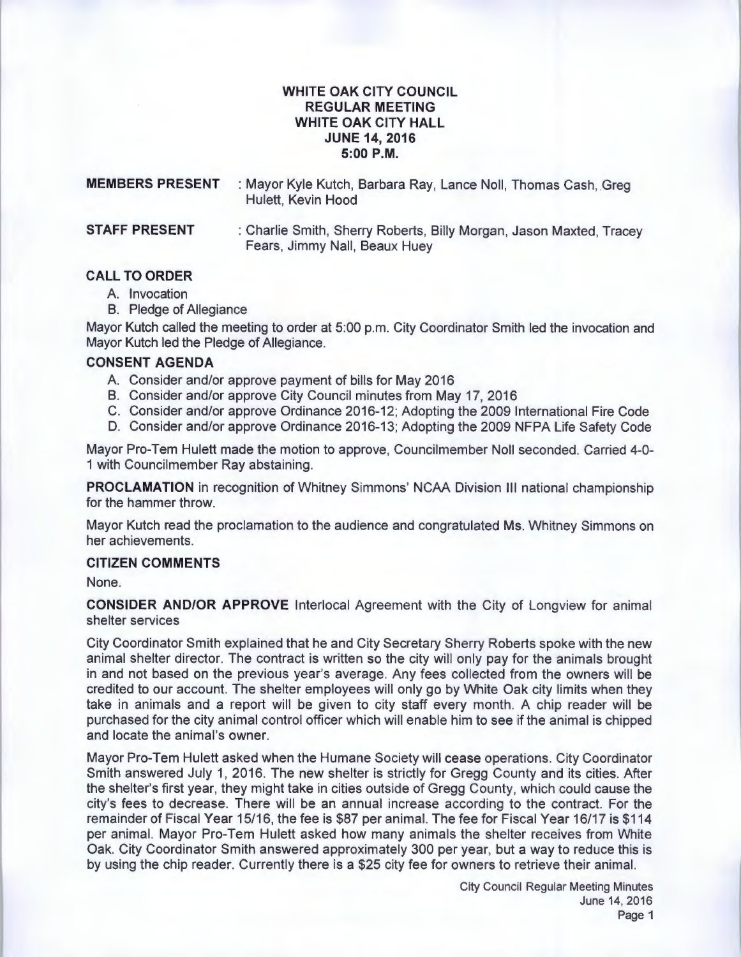# **WHITE OAK CITY COUNCIL REGULAR MEETING WHITE OAK CITY HALL JUNE 14, 2016 5:00P.M.**

| <b>MEMBERS PRESENT</b> | : Mayor Kyle Kutch, Barbara Ray, Lance Noll, Thomas Cash, Greg<br>Hulett, Kevin Hood |
|------------------------|--------------------------------------------------------------------------------------|
| <b>STAFF PRESENT</b>   | : Charlie Smith, Sherry Roberts, Billy Morgan, Jason Maxted, Tracey                  |

Fears, Jimmy Nail, Beaux Huey

## **CALL TO ORDER**

- A. Invocation
- B. Pledge of Allegiance

Mayor Kutch called the meeting to order at 5:00 p.m. City Coordinator Smith led the invocation and Mayor Kutch led the Pledge of Allegiance.

### **CONSENT AGENDA**

- A. Consider and/or approve payment of bills for May 2016
- B. Consider and/or approve City Council minutes from May 17, 2016
- C. Consider and/or approve Ordinance 2016-12; Adopting the 2009 International Fire Code
- D. Consider and/or approve Ordinance 2016-13; Adopting the 2009 NFPA Life Safety Code

Mayor Pro-Tem Hulett made the motion to approve, Councilmember Noll seconded. Carried 4-0- 1 with Councilmember Ray abstaining.

**PROCLAMATION** in recognition of Whitney Simmons' NCAA Division Ill national championship for the hammer throw.

Mayor Kutch read the proclamation to the audience and congratulated Ms. Whitney Simmons on her achievements.

#### **CITIZEN COMMENTS**

None.

**CONSIDER AND/OR APPROVE** lnterlocal Agreement with the City of Longview for animal shelter services

City Coordinator Smith explained that he and City Secretary Sherry Roberts spoke with the new animal shelter director. The contract is written so the city will only pay for the animals brought in and not based on the previous year's average. Any fees collected from the owners will be credited to our account. The shelter employees will only go by White Oak city limits when they take in animals and a report will be given to city staff every month. A chip reader will be purchased for the city animal control officer which will enable him to see if the animal is chipped and locate the animal's owner.

Mayor Pro-Tem Hulett asked when the Humane Society will cease operations. City Coordinator Smith answered July 1, 2016. The new shelter is strictly for Gregg County and its cities. After the shelter's first year, they might take in cities outside of Gregg County, which could cause the city's fees to decrease. There will be an annual increase according to the contract. For the remainder of Fiscal Year 15/16, the fee is \$87 per animal. The fee for Fiscal Year 16/17 is \$114 per animal. Mayor Pro-Tem Hulett asked how many animals the shelter receives from White Oak. City Coordinator Smith answered approximately 300 per year, but a way to reduce this is by using the chip reader. Currently there is a \$25 city fee for owners to retrieve their animal.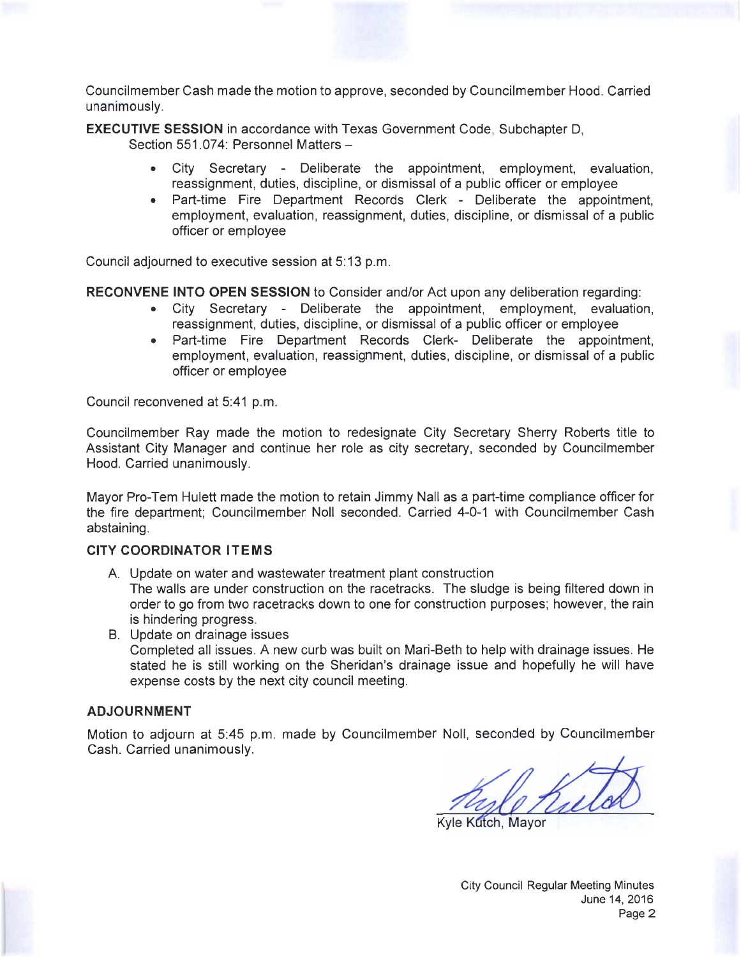Councilmember Cash made the motion to approve, seconded by Councilmember Hood. Carried unanimously.

**EXECUTIVE SESSION** in accordance with Texas Government Code, Subchapter D, Section 551.074: Personnel Matters -

- City Secretary Deliberate the appointment, employment, evaluation, reassignment, duties, discipline, or dismissal of a public officer or employee
- Part-time Fire Department Records Clerk Deliberate the appointment, employment, evaluation, reassignment, duties, discipline, or dismissal of a public officer or employee

Council adjourned to executive session at 5:13 p.m.

**RECONVENE INTO OPEN SESSION** to Consider and/or Act upon any deliberation regarding:

- City Secretary Deliberate the appointment, employment, evaluation, reassignment, duties, discipline, or dismissal of a public officer or employee
- Part-time Fire Department Records Clerk- Deliberate the appointment, employment, evaluation, reassignment, duties, discipline, or dismissal of a public officer or employee

Council reconvened at 5:41 p.m.

Councilmember Ray made the motion to redesignate City Secretary Sherry Roberts title to Assistant City Manager and continue her role as city secretary, seconded by Councilmember Hood. Carried unanimously.

Mayor Pro-Tem Hulett made the motion to retain Jimmy Nail as a part-time compliance officer for the fire department; Councilmember Noll seconded. Carried 4-0-1 with Councilmember Cash abstaining.

## **CITY COORDINATOR ITEMS**

- A. Update on water and wastewater treatment plant construction The walls are under construction on the racetracks. The sludge is being filtered down in order to go from two racetracks down to one for construction purposes; however, the rain is hindering progress.
- B. Update on drainage issues Completed all issues. A new curb was built on Mari-Beth to help with drainage issues. He stated he is still working on the Sheridan's drainage issue and hopefully he will have expense costs by the next city council meeting.

## **ADJOURNMENT**

Motion to adjourn at 5:45 p.m. made by Councilmember Noll, seconded by Councilmember Cash. Carried unanimously.

Noll, seconded by Councilmember<br>
Kyle Kutch, Mayor

City Council Regular Meeting Minutes June 14, 2016 Page 2